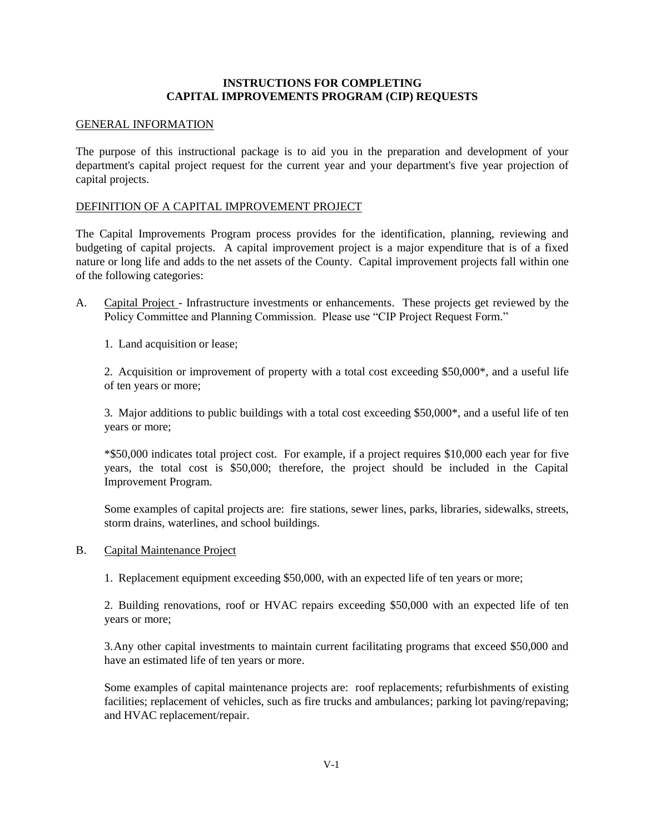### **INSTRUCTIONS FOR COMPLETING CAPITAL IMPROVEMENTS PROGRAM (CIP) REQUESTS**

#### GENERAL INFORMATION

The purpose of this instructional package is to aid you in the preparation and development of your department's capital project request for the current year and your department's five year projection of capital projects.

### DEFINITION OF A CAPITAL IMPROVEMENT PROJECT

The Capital Improvements Program process provides for the identification, planning, reviewing and budgeting of capital projects. A capital improvement project is a major expenditure that is of a fixed nature or long life and adds to the net assets of the County. Capital improvement projects fall within one of the following categories:

A. Capital Project - Infrastructure investments or enhancements. These projects get reviewed by the Policy Committee and Planning Commission. Please use "CIP Project Request Form."

1. Land acquisition or lease;

2. Acquisition or improvement of property with a total cost exceeding \$50,000\*, and a useful life of ten years or more;

3. Major additions to public buildings with a total cost exceeding \$50,000\*, and a useful life of ten years or more;

\*\$50,000 indicates total project cost. For example, if a project requires \$10,000 each year for five years, the total cost is \$50,000; therefore, the project should be included in the Capital Improvement Program.

Some examples of capital projects are: fire stations, sewer lines, parks, libraries, sidewalks, streets, storm drains, waterlines, and school buildings.

B. Capital Maintenance Project

1. Replacement equipment exceeding \$50,000, with an expected life of ten years or more;

2. Building renovations, roof or HVAC repairs exceeding \$50,000 with an expected life of ten years or more;

3.Any other capital investments to maintain current facilitating programs that exceed \$50,000 and have an estimated life of ten years or more.

Some examples of capital maintenance projects are: roof replacements; refurbishments of existing facilities; replacement of vehicles, such as fire trucks and ambulances; parking lot paving/repaving; and HVAC replacement/repair.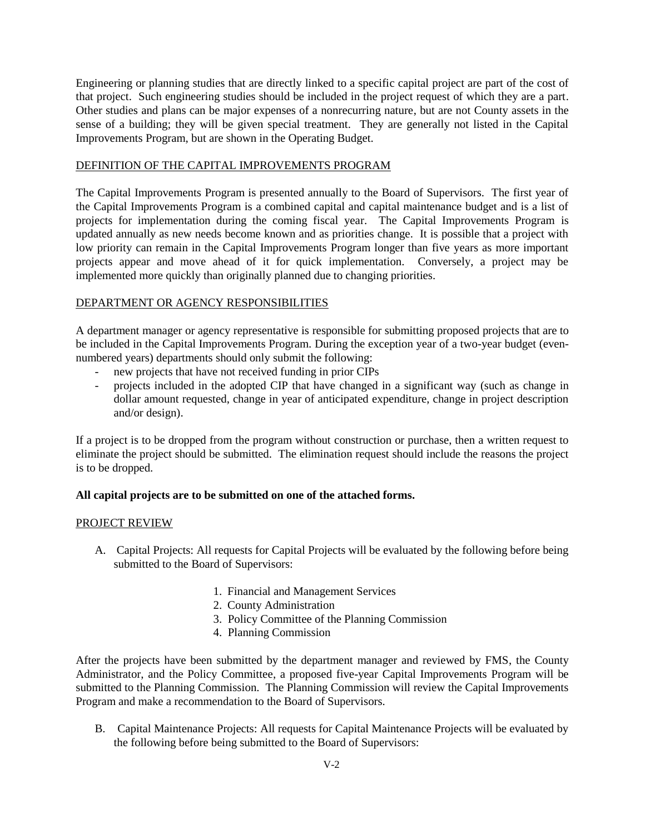Engineering or planning studies that are directly linked to a specific capital project are part of the cost of that project. Such engineering studies should be included in the project request of which they are a part. Other studies and plans can be major expenses of a nonrecurring nature, but are not County assets in the sense of a building; they will be given special treatment. They are generally not listed in the Capital Improvements Program, but are shown in the Operating Budget.

# DEFINITION OF THE CAPITAL IMPROVEMENTS PROGRAM

The Capital Improvements Program is presented annually to the Board of Supervisors. The first year of the Capital Improvements Program is a combined capital and capital maintenance budget and is a list of projects for implementation during the coming fiscal year. The Capital Improvements Program is updated annually as new needs become known and as priorities change. It is possible that a project with low priority can remain in the Capital Improvements Program longer than five years as more important projects appear and move ahead of it for quick implementation. Conversely, a project may be implemented more quickly than originally planned due to changing priorities.

# DEPARTMENT OR AGENCY RESPONSIBILITIES

A department manager or agency representative is responsible for submitting proposed projects that are to be included in the Capital Improvements Program. During the exception year of a two-year budget (evennumbered years) departments should only submit the following:

- new projects that have not received funding in prior CIPs
- projects included in the adopted CIP that have changed in a significant way (such as change in dollar amount requested, change in year of anticipated expenditure, change in project description and/or design).

If a project is to be dropped from the program without construction or purchase, then a written request to eliminate the project should be submitted. The elimination request should include the reasons the project is to be dropped.

# **All capital projects are to be submitted on one of the attached forms.**

#### PROJECT REVIEW

- A. Capital Projects: All requests for Capital Projects will be evaluated by the following before being submitted to the Board of Supervisors:
	- 1. Financial and Management Services
	- 2. County Administration
	- 3. Policy Committee of the Planning Commission
	- 4. Planning Commission

After the projects have been submitted by the department manager and reviewed by FMS, the County Administrator, and the Policy Committee, a proposed five-year Capital Improvements Program will be submitted to the Planning Commission. The Planning Commission will review the Capital Improvements Program and make a recommendation to the Board of Supervisors.

B. Capital Maintenance Projects: All requests for Capital Maintenance Projects will be evaluated by the following before being submitted to the Board of Supervisors: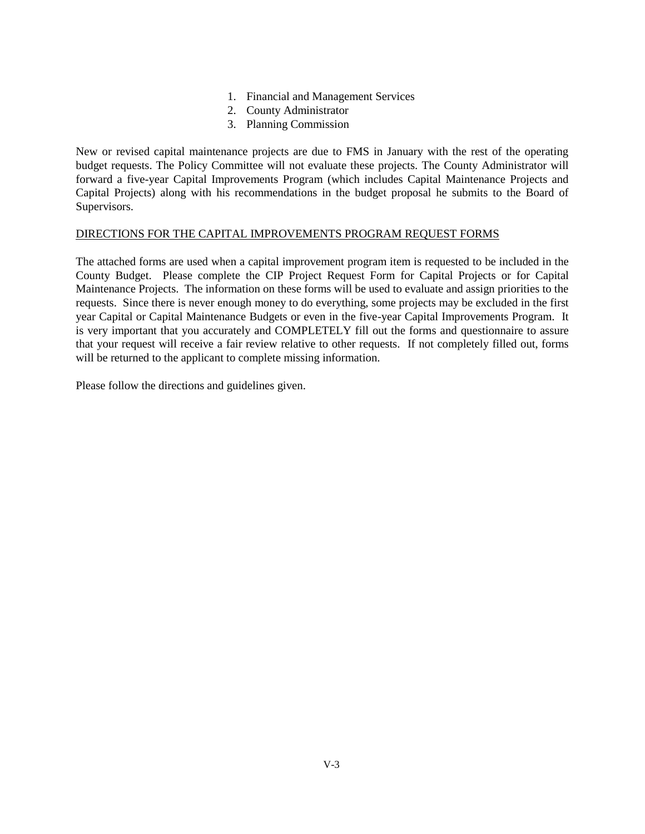- 1. Financial and Management Services
- 2. County Administrator
- 3. Planning Commission

New or revised capital maintenance projects are due to FMS in January with the rest of the operating budget requests. The Policy Committee will not evaluate these projects. The County Administrator will forward a five-year Capital Improvements Program (which includes Capital Maintenance Projects and Capital Projects) along with his recommendations in the budget proposal he submits to the Board of Supervisors.

### DIRECTIONS FOR THE CAPITAL IMPROVEMENTS PROGRAM REQUEST FORMS

The attached forms are used when a capital improvement program item is requested to be included in the County Budget. Please complete the CIP Project Request Form for Capital Projects or for Capital Maintenance Projects. The information on these forms will be used to evaluate and assign priorities to the requests. Since there is never enough money to do everything, some projects may be excluded in the first year Capital or Capital Maintenance Budgets or even in the five-year Capital Improvements Program. It is very important that you accurately and COMPLETELY fill out the forms and questionnaire to assure that your request will receive a fair review relative to other requests. If not completely filled out, forms will be returned to the applicant to complete missing information.

Please follow the directions and guidelines given.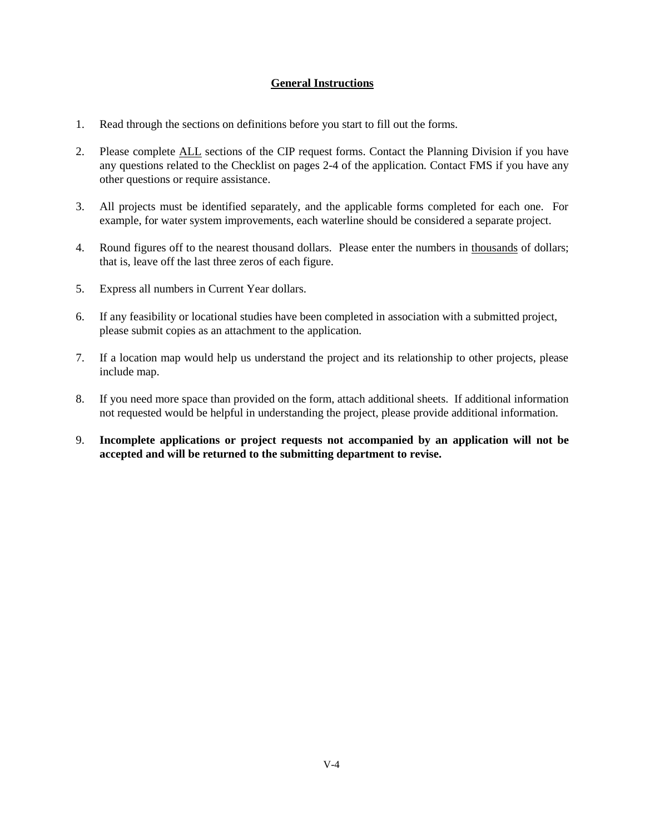# **General Instructions**

- 1. Read through the sections on definitions before you start to fill out the forms.
- 2. Please complete ALL sections of the CIP request forms. Contact the Planning Division if you have any questions related to the Checklist on pages 2-4 of the application. Contact FMS if you have any other questions or require assistance.
- 3. All projects must be identified separately, and the applicable forms completed for each one. For example, for water system improvements, each waterline should be considered a separate project.
- 4. Round figures off to the nearest thousand dollars. Please enter the numbers in thousands of dollars; that is, leave off the last three zeros of each figure.
- 5. Express all numbers in Current Year dollars.
- 6. If any feasibility or locational studies have been completed in association with a submitted project, please submit copies as an attachment to the application.
- 7. If a location map would help us understand the project and its relationship to other projects, please include map.
- 8. If you need more space than provided on the form, attach additional sheets. If additional information not requested would be helpful in understanding the project, please provide additional information.
- 9. **Incomplete applications or project requests not accompanied by an application will not be accepted and will be returned to the submitting department to revise.**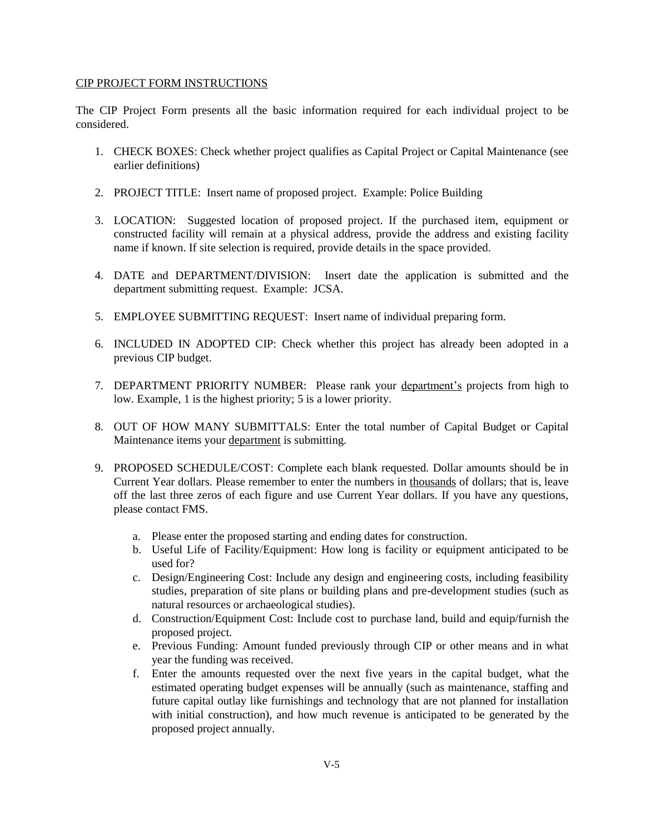#### CIP PROJECT FORM INSTRUCTIONS

The CIP Project Form presents all the basic information required for each individual project to be considered.

- 1. CHECK BOXES: Check whether project qualifies as Capital Project or Capital Maintenance (see earlier definitions)
- 2. PROJECT TITLE: Insert name of proposed project. Example: Police Building
- 3. LOCATION: Suggested location of proposed project. If the purchased item, equipment or constructed facility will remain at a physical address, provide the address and existing facility name if known. If site selection is required, provide details in the space provided.
- 4. DATE and DEPARTMENT/DIVISION: Insert date the application is submitted and the department submitting request. Example: JCSA.
- 5. EMPLOYEE SUBMITTING REQUEST: Insert name of individual preparing form.
- 6. INCLUDED IN ADOPTED CIP: Check whether this project has already been adopted in a previous CIP budget.
- 7. DEPARTMENT PRIORITY NUMBER: Please rank your department's projects from high to low. Example, 1 is the highest priority; 5 is a lower priority.
- 8. OUT OF HOW MANY SUBMITTALS: Enter the total number of Capital Budget or Capital Maintenance items your department is submitting.
- 9. PROPOSED SCHEDULE/COST: Complete each blank requested. Dollar amounts should be in Current Year dollars. Please remember to enter the numbers in thousands of dollars; that is, leave off the last three zeros of each figure and use Current Year dollars. If you have any questions, please contact FMS.
	- a. Please enter the proposed starting and ending dates for construction.
	- b. Useful Life of Facility/Equipment: How long is facility or equipment anticipated to be used for?
	- c. Design/Engineering Cost: Include any design and engineering costs, including feasibility studies, preparation of site plans or building plans and pre-development studies (such as natural resources or archaeological studies).
	- d. Construction/Equipment Cost: Include cost to purchase land, build and equip/furnish the proposed project.
	- e. Previous Funding: Amount funded previously through CIP or other means and in what year the funding was received.
	- f. Enter the amounts requested over the next five years in the capital budget, what the estimated operating budget expenses will be annually (such as maintenance, staffing and future capital outlay like furnishings and technology that are not planned for installation with initial construction), and how much revenue is anticipated to be generated by the proposed project annually.